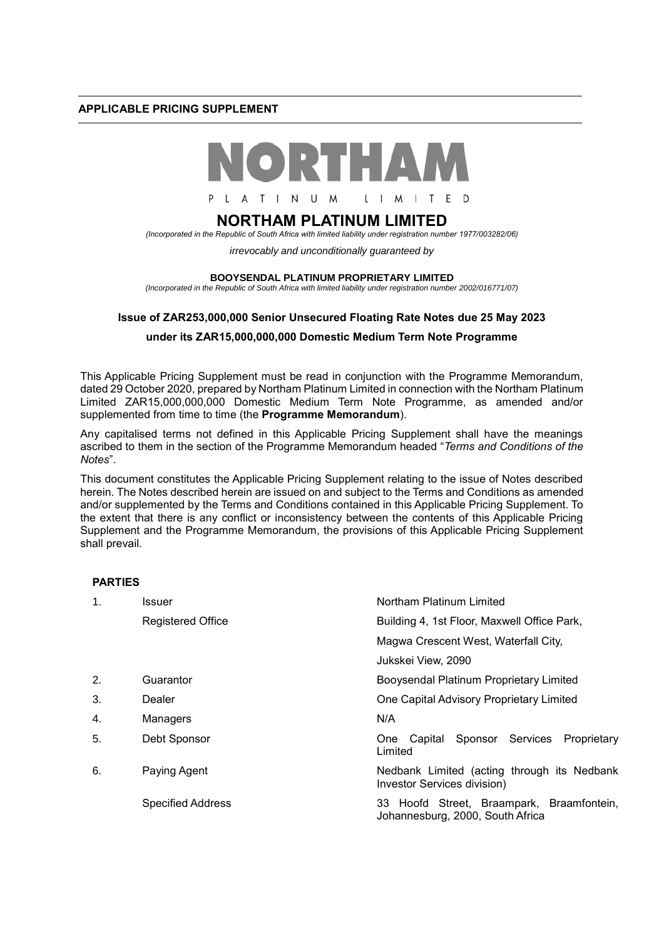## **APPLICABLE PRICING SUPPLEMENT**



# **NORTHAM PLATINUM LIMITED**

*(Incorporated in the Republic of South Africa with limited liability under registration number 1977/003282/06)*

*irrevocably and unconditionally guaranteed by* 

#### **BOOYSENDAL PLATINUM PROPRIETARY LIMITED**

*(Incorporated in the Republic of South Africa with limited liability under registration number 2002/016771/07)*

#### **Issue of ZAR253,000,000 Senior Unsecured Floating Rate Notes due 25 May 2023**

## **under its ZAR15,000,000,000 Domestic Medium Term Note Programme**

This Applicable Pricing Supplement must be read in conjunction with the Programme Memorandum, dated 29 October 2020, prepared by Northam Platinum Limited in connection with the Northam Platinum Limited ZAR15,000,000,000 Domestic Medium Term Note Programme, as amended and/or supplemented from time to time (the **Programme Memorandum**).

Any capitalised terms not defined in this Applicable Pricing Supplement shall have the meanings ascribed to them in the section of the Programme Memorandum headed "*Terms and Conditions of the Notes*".

This document constitutes the Applicable Pricing Supplement relating to the issue of Notes described herein. The Notes described herein are issued on and subject to the Terms and Conditions as amended and/or supplemented by the Terms and Conditions contained in this Applicable Pricing Supplement. To the extent that there is any conflict or inconsistency between the contents of this Applicable Pricing Supplement and the Programme Memorandum, the provisions of this Applicable Pricing Supplement shall prevail.

#### **PARTIES**

| $\mathbf 1$ . | Issuer                   | Northam Platinum Limited                                                      |  |  |  |  |  |
|---------------|--------------------------|-------------------------------------------------------------------------------|--|--|--|--|--|
|               | <b>Registered Office</b> | Building 4, 1st Floor, Maxwell Office Park,                                   |  |  |  |  |  |
|               |                          | Magwa Crescent West, Waterfall City,                                          |  |  |  |  |  |
|               |                          | Jukskei View, 2090                                                            |  |  |  |  |  |
| 2.            | Guarantor                | Booysendal Platinum Proprietary Limited                                       |  |  |  |  |  |
| 3.            | Dealer                   | One Capital Advisory Proprietary Limited                                      |  |  |  |  |  |
| 4.            | Managers                 | N/A                                                                           |  |  |  |  |  |
| 5.            | Debt Sponsor             | One Capital Sponsor Services Proprietary<br>Limited                           |  |  |  |  |  |
| 6.            | Paying Agent             | Nedbank Limited (acting through its Nedbank<br>Investor Services division)    |  |  |  |  |  |
|               | <b>Specified Address</b> | 33 Hoofd Street, Braampark, Braamfontein,<br>Johannesburg, 2000, South Africa |  |  |  |  |  |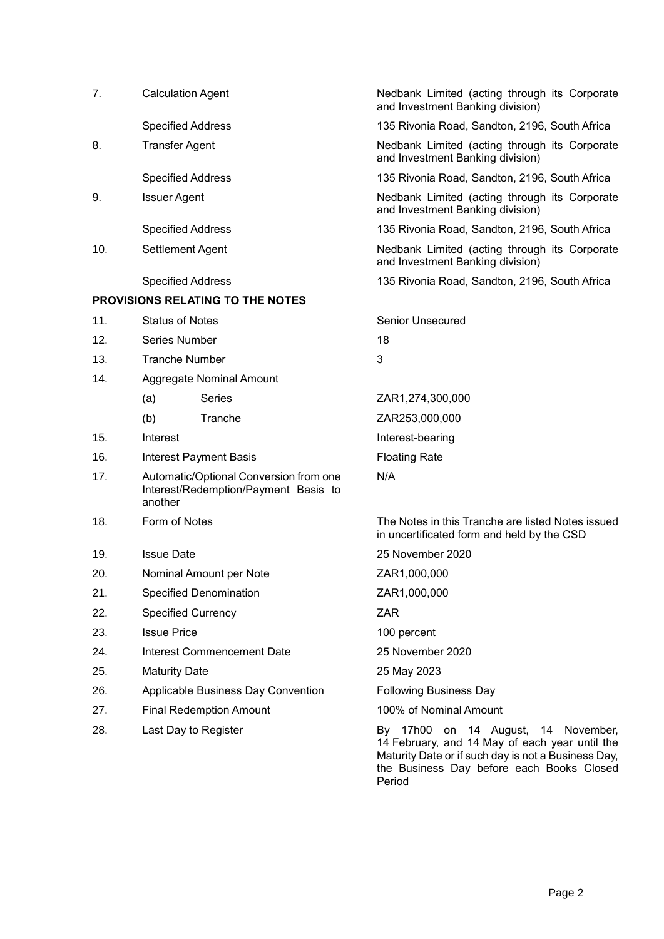| 7.  | <b>Calculation Agent</b>   |                                                                                | Nedbank Limited (acting through its Corporate<br>and Investment Banking division)                                                            |  |  |  |  |  |
|-----|----------------------------|--------------------------------------------------------------------------------|----------------------------------------------------------------------------------------------------------------------------------------------|--|--|--|--|--|
|     | <b>Specified Address</b>   |                                                                                | 135 Rivonia Road, Sandton, 2196, South Africa                                                                                                |  |  |  |  |  |
| 8.  | <b>Transfer Agent</b>      |                                                                                | Nedbank Limited (acting through its Corporate<br>and Investment Banking division)                                                            |  |  |  |  |  |
|     | <b>Specified Address</b>   |                                                                                | 135 Rivonia Road, Sandton, 2196, South Africa                                                                                                |  |  |  |  |  |
| 9.  | <b>Issuer Agent</b>        |                                                                                | Nedbank Limited (acting through its Corporate<br>and Investment Banking division)                                                            |  |  |  |  |  |
|     | <b>Specified Address</b>   |                                                                                | 135 Rivonia Road, Sandton, 2196, South Africa                                                                                                |  |  |  |  |  |
| 10. | Settlement Agent           |                                                                                | Nedbank Limited (acting through its Corporate<br>and Investment Banking division)                                                            |  |  |  |  |  |
|     | <b>Specified Address</b>   |                                                                                | 135 Rivonia Road, Sandton, 2196, South Africa                                                                                                |  |  |  |  |  |
|     |                            | <b>PROVISIONS RELATING TO THE NOTES</b>                                        |                                                                                                                                              |  |  |  |  |  |
| 11. | <b>Status of Notes</b>     |                                                                                | Senior Unsecured                                                                                                                             |  |  |  |  |  |
| 12. | Series Number              |                                                                                | 18                                                                                                                                           |  |  |  |  |  |
| 13. | <b>Tranche Number</b>      |                                                                                | 3                                                                                                                                            |  |  |  |  |  |
| 14. |                            | <b>Aggregate Nominal Amount</b>                                                |                                                                                                                                              |  |  |  |  |  |
|     | (a)                        | <b>Series</b>                                                                  | ZAR1,274,300,000                                                                                                                             |  |  |  |  |  |
|     | (b)                        | Tranche                                                                        | ZAR253,000,000                                                                                                                               |  |  |  |  |  |
| 15. | Interest                   |                                                                                | Interest-bearing                                                                                                                             |  |  |  |  |  |
| 16. |                            | <b>Interest Payment Basis</b>                                                  | <b>Floating Rate</b>                                                                                                                         |  |  |  |  |  |
| 17. | another                    | Automatic/Optional Conversion from one<br>Interest/Redemption/Payment Basis to | N/A                                                                                                                                          |  |  |  |  |  |
| 18. | Form of Notes              |                                                                                | The Notes in this Tranche are listed Notes issued<br>in uncertificated form and held by the CSD                                              |  |  |  |  |  |
| 19. | <b>Issue Date</b>          |                                                                                | 25 November 2020                                                                                                                             |  |  |  |  |  |
| 20. |                            | Nominal Amount per Note                                                        | ZAR1,000,000                                                                                                                                 |  |  |  |  |  |
| 21. |                            | Specified Denomination                                                         | ZAR1,000,000                                                                                                                                 |  |  |  |  |  |
| 22. | <b>Specified Currency</b>  |                                                                                | <b>ZAR</b>                                                                                                                                   |  |  |  |  |  |
| 23. | <b>Issue Price</b>         |                                                                                | 100 percent                                                                                                                                  |  |  |  |  |  |
| 24. | Interest Commencement Date |                                                                                | 25 November 2020                                                                                                                             |  |  |  |  |  |
| 25. | <b>Maturity Date</b>       |                                                                                | 25 May 2023                                                                                                                                  |  |  |  |  |  |
| 26. |                            | Applicable Business Day Convention                                             | <b>Following Business Day</b>                                                                                                                |  |  |  |  |  |
| 27. |                            | <b>Final Redemption Amount</b>                                                 | 100% of Nominal Amount                                                                                                                       |  |  |  |  |  |
| 28. | Last Day to Register       |                                                                                | By 17h00 on 14 August, 14 November,<br>14 February, and 14 May of each year until the<br>Maturity Date or if such day is not a Business Day, |  |  |  |  |  |

Maturity Date or if such day is not a Business Day, the Business Day before each Books Closed Period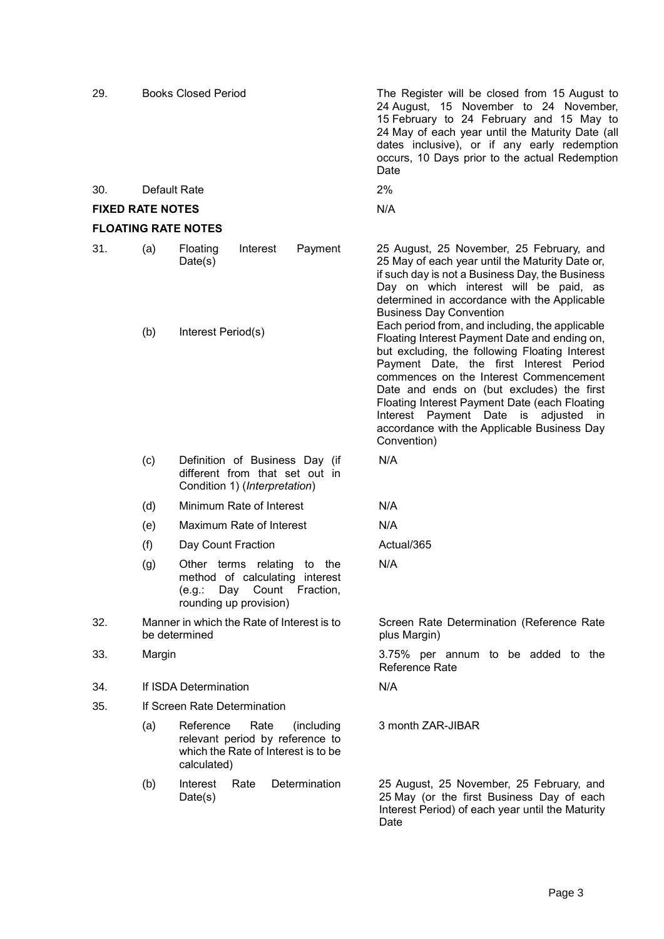| 29.                     |              | <b>Books Closed Period</b>                                                                                                           | The Register will be closed from 15 August to<br>24 August, 15 November to 24 November,<br>15 February to 24 February and 15 May to<br>24 May of each year until the Maturity Date (all<br>dates inclusive), or if any early redemption<br>occurs, 10 Days prior to the actual Redemption<br>Date                                                                                                                                              |  |  |  |  |  |
|-------------------------|--------------|--------------------------------------------------------------------------------------------------------------------------------------|------------------------------------------------------------------------------------------------------------------------------------------------------------------------------------------------------------------------------------------------------------------------------------------------------------------------------------------------------------------------------------------------------------------------------------------------|--|--|--|--|--|
| 30.                     | Default Rate |                                                                                                                                      | 2%                                                                                                                                                                                                                                                                                                                                                                                                                                             |  |  |  |  |  |
| <b>FIXED RATE NOTES</b> |              |                                                                                                                                      | N/A                                                                                                                                                                                                                                                                                                                                                                                                                                            |  |  |  |  |  |
|                         |              | <b>FLOATING RATE NOTES</b>                                                                                                           |                                                                                                                                                                                                                                                                                                                                                                                                                                                |  |  |  |  |  |
| 31.                     | (a)          | Payment<br>Floating<br>Interest<br>Date(s)                                                                                           | 25 August, 25 November, 25 February, and<br>25 May of each year until the Maturity Date or,<br>if such day is not a Business Day, the Business<br>Day on which interest will be paid, as<br>determined in accordance with the Applicable<br><b>Business Day Convention</b>                                                                                                                                                                     |  |  |  |  |  |
|                         | (b)          | Interest Period(s)                                                                                                                   | Each period from, and including, the applicable<br>Floating Interest Payment Date and ending on,<br>but excluding, the following Floating Interest<br>Payment Date, the first Interest Period<br>commences on the Interest Commencement<br>Date and ends on (but excludes) the first<br>Floating Interest Payment Date (each Floating<br>Interest Payment Date is adjusted<br>in<br>accordance with the Applicable Business Day<br>Convention) |  |  |  |  |  |
|                         | (c)          | Definition of Business Day (if<br>different from that set out in<br>Condition 1) (Interpretation)                                    | N/A                                                                                                                                                                                                                                                                                                                                                                                                                                            |  |  |  |  |  |
|                         | (d)          | Minimum Rate of Interest                                                                                                             | N/A                                                                                                                                                                                                                                                                                                                                                                                                                                            |  |  |  |  |  |
|                         | (e)          | Maximum Rate of Interest                                                                                                             | N/A                                                                                                                                                                                                                                                                                                                                                                                                                                            |  |  |  |  |  |
|                         | (f)          | Day Count Fraction                                                                                                                   | Actual/365                                                                                                                                                                                                                                                                                                                                                                                                                                     |  |  |  |  |  |
|                         | (g)          | to the<br>Other terms relating<br>method of calculating<br>interest<br>Fraction,<br>Day<br>Count<br>(e.g.:<br>rounding up provision) | N/A                                                                                                                                                                                                                                                                                                                                                                                                                                            |  |  |  |  |  |
| 32.                     |              | Manner in which the Rate of Interest is to<br>be determined                                                                          | Screen Rate Determination (Reference Rate<br>plus Margin)                                                                                                                                                                                                                                                                                                                                                                                      |  |  |  |  |  |
| 33.                     | Margin       |                                                                                                                                      | 3.75% per annum to be added to the<br>Reference Rate                                                                                                                                                                                                                                                                                                                                                                                           |  |  |  |  |  |
| 34.                     |              | If ISDA Determination                                                                                                                | N/A                                                                                                                                                                                                                                                                                                                                                                                                                                            |  |  |  |  |  |
| 35.                     |              | If Screen Rate Determination                                                                                                         |                                                                                                                                                                                                                                                                                                                                                                                                                                                |  |  |  |  |  |
|                         | (a)          | Reference<br>Rate<br>(including<br>relevant period by reference to<br>which the Rate of Interest is to be<br>calculated)             | 3 month ZAR-JIBAR                                                                                                                                                                                                                                                                                                                                                                                                                              |  |  |  |  |  |
|                         | (b)          | Determination<br>Interest<br>Rate<br>Date(s)                                                                                         | 25 August, 25 November, 25 February, and<br>25 May (or the first Business Day of each<br>Interest Period) of each year until the Maturity<br>Date                                                                                                                                                                                                                                                                                              |  |  |  |  |  |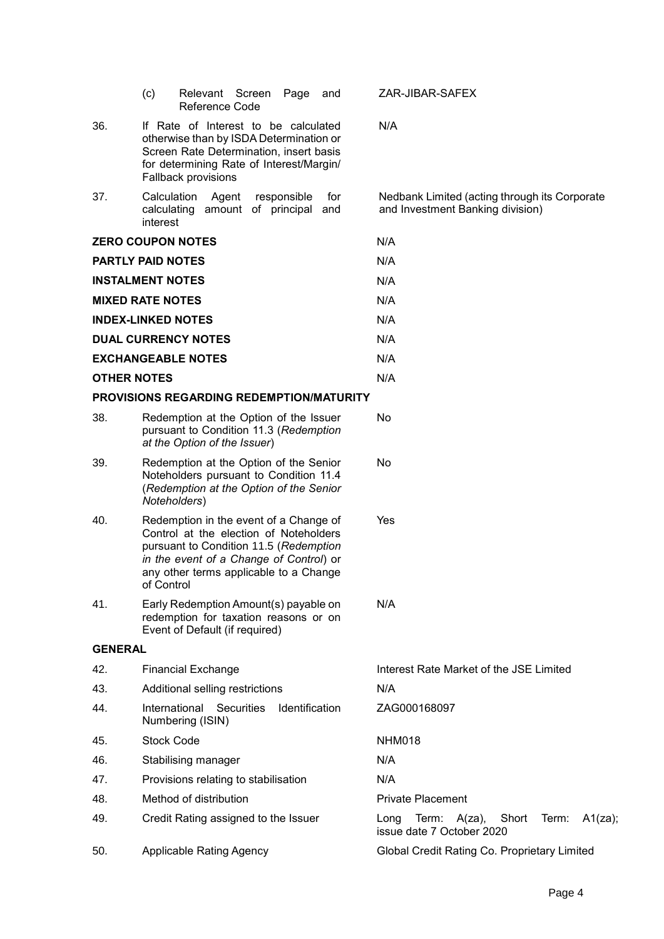|                            | (c)                                                                                                                                                                                                                           | Relevant Screen<br><b>Reference Code</b>        |                     | Page           | and                                     |                                              | ZAR-JIBAR-SAFEX          |                                                                                   |       |       |         |  |
|----------------------------|-------------------------------------------------------------------------------------------------------------------------------------------------------------------------------------------------------------------------------|-------------------------------------------------|---------------------|----------------|-----------------------------------------|----------------------------------------------|--------------------------|-----------------------------------------------------------------------------------|-------|-------|---------|--|
| 36.                        | If Rate of Interest to be calculated<br>otherwise than by ISDA Determination or<br>Screen Rate Determination, insert basis<br>for determining Rate of Interest/Margin/<br>Fallback provisions                                 |                                                 |                     |                |                                         | N/A                                          |                          |                                                                                   |       |       |         |  |
| 37.                        | Calculation<br>calculating<br>interest                                                                                                                                                                                        | Agent                                           | amount of principal | responsible    | for<br>and                              |                                              |                          | Nedbank Limited (acting through its Corporate<br>and Investment Banking division) |       |       |         |  |
| <b>ZERO COUPON NOTES</b>   |                                                                                                                                                                                                                               |                                                 |                     |                |                                         | N/A                                          |                          |                                                                                   |       |       |         |  |
| <b>PARTLY PAID NOTES</b>   |                                                                                                                                                                                                                               |                                                 |                     |                |                                         | N/A                                          |                          |                                                                                   |       |       |         |  |
| <b>INSTALMENT NOTES</b>    |                                                                                                                                                                                                                               |                                                 |                     |                |                                         | N/A                                          |                          |                                                                                   |       |       |         |  |
| <b>MIXED RATE NOTES</b>    |                                                                                                                                                                                                                               |                                                 |                     |                |                                         | N/A                                          |                          |                                                                                   |       |       |         |  |
| <b>INDEX-LINKED NOTES</b>  |                                                                                                                                                                                                                               |                                                 |                     |                |                                         | N/A                                          |                          |                                                                                   |       |       |         |  |
| <b>DUAL CURRENCY NOTES</b> |                                                                                                                                                                                                                               |                                                 |                     | N/A            |                                         |                                              |                          |                                                                                   |       |       |         |  |
|                            |                                                                                                                                                                                                                               | <b>EXCHANGEABLE NOTES</b>                       |                     |                |                                         | N/A                                          |                          |                                                                                   |       |       |         |  |
| <b>OTHER NOTES</b>         |                                                                                                                                                                                                                               |                                                 |                     |                |                                         | N/A                                          |                          |                                                                                   |       |       |         |  |
|                            |                                                                                                                                                                                                                               | <b>PROVISIONS REGARDING REDEMPTION/MATURITY</b> |                     |                |                                         |                                              |                          |                                                                                   |       |       |         |  |
| 38.                        | Redemption at the Option of the Issuer<br>pursuant to Condition 11.3 (Redemption<br>at the Option of the Issuer)                                                                                                              |                                                 |                     |                | No                                      |                                              |                          |                                                                                   |       |       |         |  |
| 39.                        | Redemption at the Option of the Senior<br>Noteholders pursuant to Condition 11.4<br>(Redemption at the Option of the Senior<br>Noteholders)                                                                                   |                                                 |                     |                | No                                      |                                              |                          |                                                                                   |       |       |         |  |
| 40.                        | Redemption in the event of a Change of<br>Control at the election of Noteholders<br>pursuant to Condition 11.5 (Redemption<br>in the event of a Change of Control) or<br>any other terms applicable to a Change<br>of Control |                                                 |                     |                | Yes                                     |                                              |                          |                                                                                   |       |       |         |  |
| 41.                        | Early Redemption Amount(s) payable on<br>redemption for taxation reasons or on<br>Event of Default (if required)                                                                                                              |                                                 |                     |                | N/A                                     |                                              |                          |                                                                                   |       |       |         |  |
| <b>GENERAL</b>             |                                                                                                                                                                                                                               |                                                 |                     |                |                                         |                                              |                          |                                                                                   |       |       |         |  |
| 42.                        | <b>Financial Exchange</b>                                                                                                                                                                                                     |                                                 |                     |                | Interest Rate Market of the JSE Limited |                                              |                          |                                                                                   |       |       |         |  |
| 43.                        | Additional selling restrictions                                                                                                                                                                                               |                                                 |                     | N/A            |                                         |                                              |                          |                                                                                   |       |       |         |  |
| 44.                        | International                                                                                                                                                                                                                 | Numbering (ISIN)                                | <b>Securities</b>   | Identification |                                         |                                              | ZAG000168097             |                                                                                   |       |       |         |  |
| 45.                        | <b>Stock Code</b>                                                                                                                                                                                                             |                                                 |                     | <b>NHM018</b>  |                                         |                                              |                          |                                                                                   |       |       |         |  |
| 46.                        |                                                                                                                                                                                                                               | Stabilising manager                             |                     |                |                                         | N/A                                          |                          |                                                                                   |       |       |         |  |
| 47.                        |                                                                                                                                                                                                                               | Provisions relating to stabilisation            |                     |                |                                         | N/A                                          |                          |                                                                                   |       |       |         |  |
| 48.                        |                                                                                                                                                                                                                               | Method of distribution                          |                     |                |                                         |                                              | <b>Private Placement</b> |                                                                                   |       |       |         |  |
| 49.                        |                                                                                                                                                                                                                               | Credit Rating assigned to the Issuer            |                     |                |                                         | Long                                         | Term:                    | $A(za)$ ,<br>issue date 7 October 2020                                            | Short | Term: | A1(za); |  |
| 50.                        |                                                                                                                                                                                                                               | <b>Applicable Rating Agency</b>                 |                     |                |                                         | Global Credit Rating Co. Proprietary Limited |                          |                                                                                   |       |       |         |  |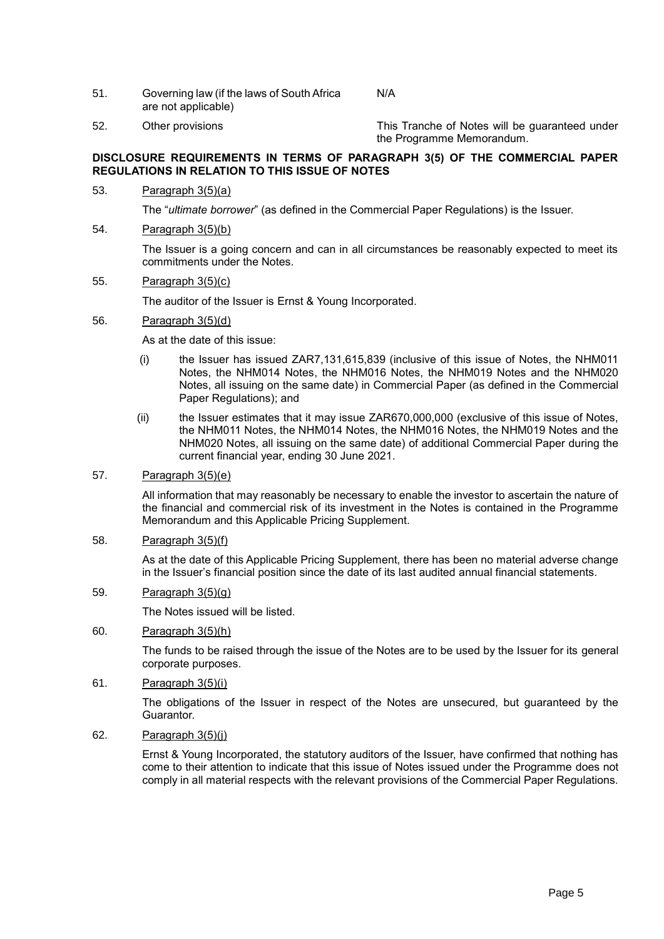- 51. Governing law (if the laws of South Africa are not applicable) N/A
- 52. Other provisions This Tranche of Notes will be guaranteed under the Programme Memorandum.

### **DISCLOSURE REQUIREMENTS IN TERMS OF PARAGRAPH 3(5) OF THE COMMERCIAL PAPER REGULATIONS IN RELATION TO THIS ISSUE OF NOTES**

53. Paragraph 3(5)(a)

The "*ultimate borrower*" (as defined in the Commercial Paper Regulations) is the Issuer.

## 54. Paragraph 3(5)(b)

The Issuer is a going concern and can in all circumstances be reasonably expected to meet its commitments under the Notes.

#### 55. Paragraph 3(5)(c)

The auditor of the Issuer is Ernst & Young Incorporated.

#### 56. Paragraph 3(5)(d)

As at the date of this issue:

- (i) the Issuer has issued ZAR7,131,615,839 (inclusive of this issue of Notes, the NHM011 Notes, the NHM014 Notes, the NHM016 Notes, the NHM019 Notes and the NHM020 Notes, all issuing on the same date) in Commercial Paper (as defined in the Commercial Paper Regulations); and
- (ii) the Issuer estimates that it may issue ZAR670,000,000 (exclusive of this issue of Notes, the NHM011 Notes, the NHM014 Notes, the NHM016 Notes, the NHM019 Notes and the NHM020 Notes, all issuing on the same date) of additional Commercial Paper during the current financial year, ending 30 June 2021.

## 57. Paragraph 3(5)(e)

All information that may reasonably be necessary to enable the investor to ascertain the nature of the financial and commercial risk of its investment in the Notes is contained in the Programme Memorandum and this Applicable Pricing Supplement.

#### 58. Paragraph 3(5)(f)

As at the date of this Applicable Pricing Supplement, there has been no material adverse change in the Issuer's financial position since the date of its last audited annual financial statements.

## 59. Paragraph 3(5)(g)

The Notes issued will be listed.

## 60. Paragraph 3(5)(h)

The funds to be raised through the issue of the Notes are to be used by the Issuer for its general corporate purposes.

61. Paragraph 3(5)(i)

The obligations of the Issuer in respect of the Notes are unsecured, but guaranteed by the Guarantor.

62. Paragraph 3(5)(j)

Ernst & Young Incorporated, the statutory auditors of the Issuer, have confirmed that nothing has come to their attention to indicate that this issue of Notes issued under the Programme does not comply in all material respects with the relevant provisions of the Commercial Paper Regulations.